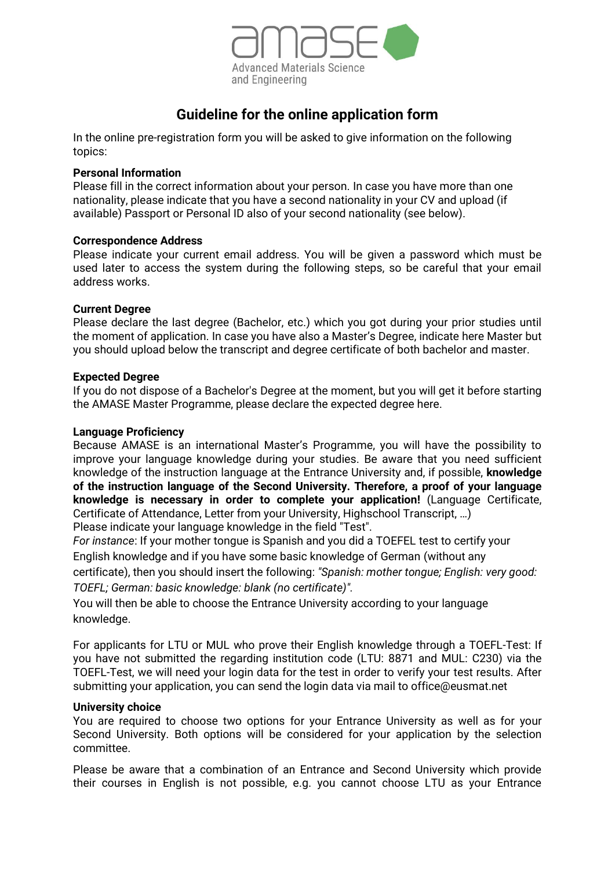

# **Guideline for the online application form**

In the online pre-registration form you will be asked to give information on the following topics:

## **Personal Information**

Please fill in the correct information about your person. In case you have more than one nationality, please indicate that you have a second nationality in your CV and upload (if available) Passport or Personal ID also of your second nationality (see below).

## **Correspondence Address**

Please indicate your current email address. You will be given a password which must be used later to access the system during the following steps, so be careful that your email address works.

## **Current Degree**

Please declare the last degree (Bachelor, etc.) which you got during your prior studies until the moment of application. In case you have also a Master's Degree, indicate here Master but you should upload below the transcript and degree certificate of both bachelor and master.

## **Expected Degree**

If you do not dispose of a Bachelor's Degree at the moment, but you will get it before starting the AMASE Master Programme, please declare the expected degree here.

#### **Language Proficiency**

Because AMASE is an international Master's Programme, you will have the possibility to improve your language knowledge during your studies. Be aware that you need sufficient knowledge of the instruction language at the Entrance University and, if possible, **knowledge of the instruction language of the Second University. Therefore, a proof of your language knowledge is necessary in order to complete your application!** (Language Certificate, Certificate of Attendance, Letter from your University, Highschool Transcript, …)

Please indicate your language knowledge in the field "Test".

*For instance*: If your mother tongue is Spanish and you did a TOEFEL test to certify your English knowledge and if you have some basic knowledge of German (without any

certificate), then you should insert the following: *"Spanish: mother tongue; English: very good: TOEFL; German: basic knowledge: blank (no certificate)".* 

You will then be able to choose the Entrance University according to your language knowledge.

For applicants for LTU or MUL who prove their English knowledge through a TOEFL-Test: If you have not submitted the regarding institution code (LTU: 8871 and MUL: C230) via the TOEFL-Test, we will need your login data for the test in order to verify your test results. After submitting your application, you can send the login data via mail to office@eusmat.net

## **University choice**

You are required to choose two options for your Entrance University as well as for your Second University. Both options will be considered for your application by the selection committee.

Please be aware that a combination of an Entrance and Second University which provide their courses in English is not possible, e.g. you cannot choose LTU as your Entrance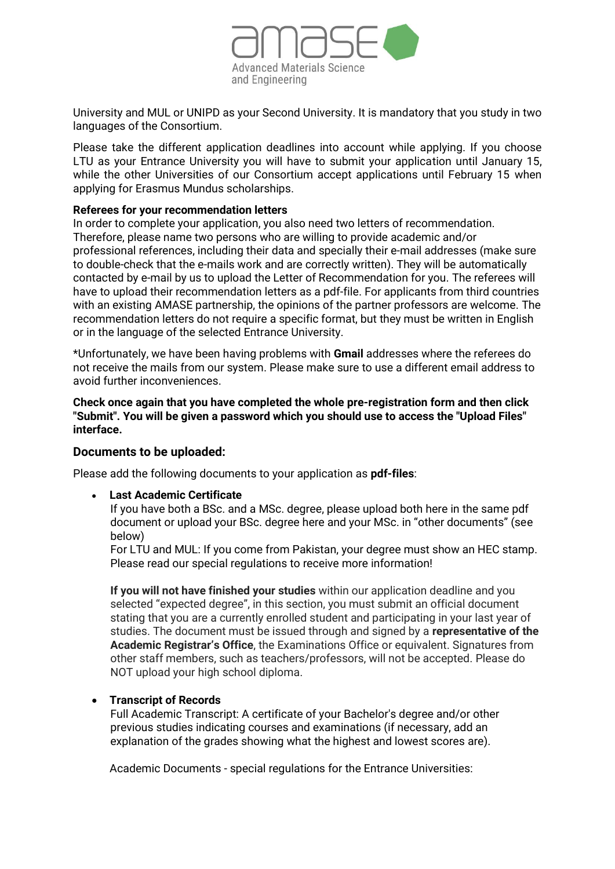

University and MUL or UNIPD as your Second University. It is mandatory that you study in two languages of the Consortium.

Please take the different application deadlines into account while applying. If you choose LTU as your Entrance University you will have to submit your application until January 15, while the other Universities of our Consortium accept applications until February 15 when applying for Erasmus Mundus scholarships.

#### **Referees for your recommendation letters**

In order to complete your application, you also need two letters of recommendation. Therefore, please name two persons who are willing to provide academic and/or professional references, including their data and specially their e-mail addresses (make sure to double-check that the e-mails work and are correctly written). They will be automatically contacted by e-mail by us to upload the Letter of Recommendation for you. The referees will have to upload their recommendation letters as a pdf-file. For applicants from third countries with an existing AMASE partnership, the opinions of the partner professors are welcome. The recommendation letters do not require a specific format, but they must be written in English or in the language of the selected Entrance University.

\*Unfortunately, we have been having problems with **Gmail** addresses where the referees do not receive the mails from our system. Please make sure to use a different email address to avoid further inconveniences.

**Check once again that you have completed the whole pre-registration form and then click "Submit". You will be given a password which you should use to access the "Upload Files" interface.**

## **Documents to be uploaded:**

Please add the following documents to your application as **pdf-files**:

• **Last Academic Certificate**

If you have both a BSc. and a MSc. degree, please upload both here in the same pdf document or upload your BSc. degree here and your MSc. in "other documents" (see below)

For LTU and MUL: If you come from Pakistan, your degree must show an HEC stamp. Please read our [special regulations](http://www.uni-saarland.de/einrichtung/eusmat/international-studies/master/amase/application/requirements/important-information-for-applicants-from-china-pakistan-nigeria-ethiopia-and-ghana.html) to receive more information!

**If you will not have finished your studies** within our application deadline and you selected "expected degree", in this section, you must submit an official document stating that you are a currently enrolled student and participating in your last year of studies. The document must be issued through and signed by a **representative of the Academic Registrar's Office**, the Examinations Office or equivalent. Signatures from other staff members, such as teachers/professors, will not be accepted. Please do NOT upload your high school diploma.

## • **Transcript of Records**

Full Academic Transcript: A certificate of your Bachelor's degree and/or other previous studies indicating courses and examinations (if necessary, add an explanation of the grades showing what the highest and lowest scores are).

Academic Documents - special regulations for the Entrance Universities: